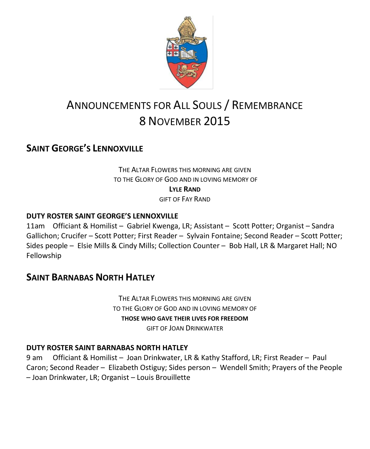

# ANNOUNCEMENTS FOR ALL SOULS / REMEMBRANCE 8 NOVEMBER 2015

# **SAINT GEORGE'S LENNOXVILLE**

THE ALTAR FLOWERS THIS MORNING ARE GIVEN TO THE GLORY OF GOD AND IN LOVING MEMORY OF **LYLE RAND** GIFT OF FAY RAND

#### **DUTY ROSTER SAINT GEORGE'S LENNOXVILLE**

11am Officiant & Homilist – Gabriel Kwenga, LR; Assistant – Scott Potter; Organist – Sandra Gallichon; Crucifer – Scott Potter; First Reader – Sylvain Fontaine; Second Reader – Scott Potter; Sides people – Elsie Mills & Cindy Mills; Collection Counter – Bob Hall, LR & Margaret Hall; NO Fellowship

### **SAINT BARNABAS NORTH HATLEY**

THE ALTAR FLOWERS THIS MORNING ARE GIVEN TO THE GLORY OF GOD AND IN LOVING MEMORY OF **THOSE WHO GAVE THEIR LIVES FOR FREEDOM** GIFT OF JOAN DRINKWATER

#### **DUTY ROSTER SAINT BARNABAS NORTH HATLEY**

9 am Officiant & Homilist – Joan Drinkwater, LR & Kathy Stafford, LR; First Reader – Paul Caron; Second Reader – Elizabeth Ostiguy; Sides person – Wendell Smith; Prayers of the People – Joan Drinkwater, LR; Organist – Louis Brouillette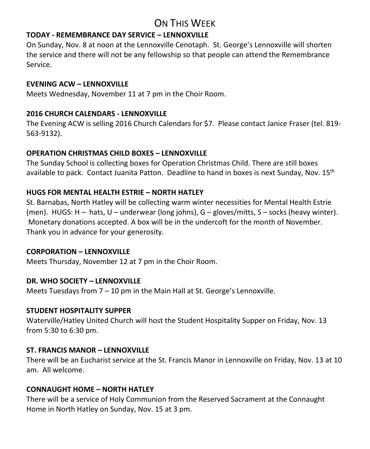# ON THIS WEEK

#### **TODAY - REMEMBRANCE DAY SERVICE – LENNOXVILLE**

On Sunday, Nov. 8 at noon at the Lennoxville Cenotaph. St. George's Lennoxville will shorten the service and there will not be any fellowship so that people can attend the Remembrance Service.

#### **EVENING ACW – LENNOXVILLE**

Meets Wednesday, November 11 at 7 pm in the Choir Room.

#### **2016 CHURCH CALENDARS - LENNOXVILLE**

The Evening ACW is selling 2016 Church Calendars for \$7. Please contact Janice Fraser (tel. 819- 563-9132).

#### **OPERATION CHRISTMAS CHILD BOXES – LENNOXVILLE**

The Sunday School is collecting boxes for Operation Christmas Child. There are still boxes available to pack. Contact Juanita Patton. Deadline to hand in boxes is next Sunday, Nov. 15<sup>th</sup>

#### **HUGS FOR MENTAL HEALTH ESTRIE – NORTH HATLEY**

St. Barnabas, North Hatley will be collecting warm winter necessities for Mental Health Estrie (men). HUGS: H – hats, U – underwear (long johns), G – gloves/mitts, S – socks (heavy winter). Monetary donations accepted. A box will be in the undercoft for the month of November. Thank you in advance for your generosity.

#### **CORPORATION – LENNOXVILLE**

Meets Thursday, November 12 at 7 pm in the Choir Room.

#### **DR. WHO SOCIETY – LENNOXVILLE**

Meets Tuesdays from 7 – 10 pm in the Main Hall at St. George's Lennoxville.

#### **STUDENT HOSPITALITY SUPPER**

Waterville/Hatley United Church will host the Student Hospitality Supper on Friday, Nov. 13 from 5:30 to 6:30 pm.

#### **ST. FRANCIS MANOR – LENNOXVILLE**

There will be an Eucharist service at the St. Francis Manor in Lennoxville on Friday, Nov. 13 at 10 am. All welcome.

#### **CONNAUGHT HOME – NORTH HATLEY**

There will be a service of Holy Communion from the Reserved Sacrament at the Connaught Home in North Hatley on Sunday, Nov. 15 at 3 pm.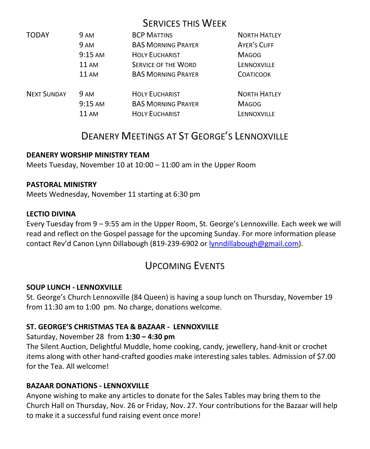|                    |                   | <b>SERVICES THIS WEEK</b>  |                     |
|--------------------|-------------------|----------------------------|---------------------|
| <b>TODAY</b>       | 9 AM              | <b>BCP MATTINS</b>         | <b>NORTH HATLEY</b> |
|                    | 9 AM              | <b>BAS MORNING PRAYER</b>  | <b>AYER'S CLIFF</b> |
|                    | $9:15 \text{ AM}$ | <b>HOLY EUCHARIST</b>      | <b>MAGOG</b>        |
|                    | <b>11 AM</b>      | <b>SERVICE OF THE WORD</b> | LENNOXVILLE         |
|                    | <b>11 AM</b>      | <b>BAS MORNING PRAYER</b>  | <b>COATICOOK</b>    |
| <b>NEXT SUNDAY</b> | 9 AM              | <b>HOLY EUCHARIST</b>      | <b>NORTH HATLEY</b> |
|                    | $9:15$ AM         | <b>BAS MORNING PRAYER</b>  | <b>MAGOG</b>        |
|                    | 11 AM             | <b>HOLY EUCHARIST</b>      | <b>LENNOXVILLE</b>  |

# DEANERY MEETINGS AT ST GEORGE'S LENNOXVILLE

#### **DEANERY WORSHIP MINISTRY TEAM**

Meets Tuesday, November 10 at 10:00 – 11:00 am in the Upper Room

#### **PASTORAL MINISTRY**

Meets Wednesday, November 11 starting at 6:30 pm

#### **LECTIO DIVINA**

Every Tuesday from 9 – 9:55 am in the Upper Room, St. George's Lennoxville. Each week we will read and reflect on the Gospel passage for the upcoming Sunday. For more information please contact Rev'd Canon Lynn Dillabough (819-239-6902 or [lynndillabough@gmail.com\)](mailto:lynndillabough@gmail.com).

## UPCOMING EVENTS

#### **SOUP LUNCH - LENNOXVILLE**

St. George's Church Lennoxville (84 Queen) is having a soup lunch on Thursday, November 19 from 11:30 am to 1:00 pm. No charge, donations welcome.

#### **ST. GEORGE'S CHRISTMAS TEA & BAZAAR - LENNOXVILLE**

#### Saturday, November 28 from **1:30 – 4:30 pm**

The Silent Auction, Delightful Muddle, home cooking, candy, jewellery, hand-knit or crochet items along with other hand-crafted goodies make interesting sales tables. Admission of \$7.00 for the Tea. All welcome!

#### **BAZAAR DONATIONS - LENNOXVILLE**

Anyone wishing to make any articles to donate for the Sales Tables may bring them to the Church Hall on Thursday, Nov. 26 or Friday, Nov. 27. Your contributions for the Bazaar will help to make it a successful fund raising event once more!